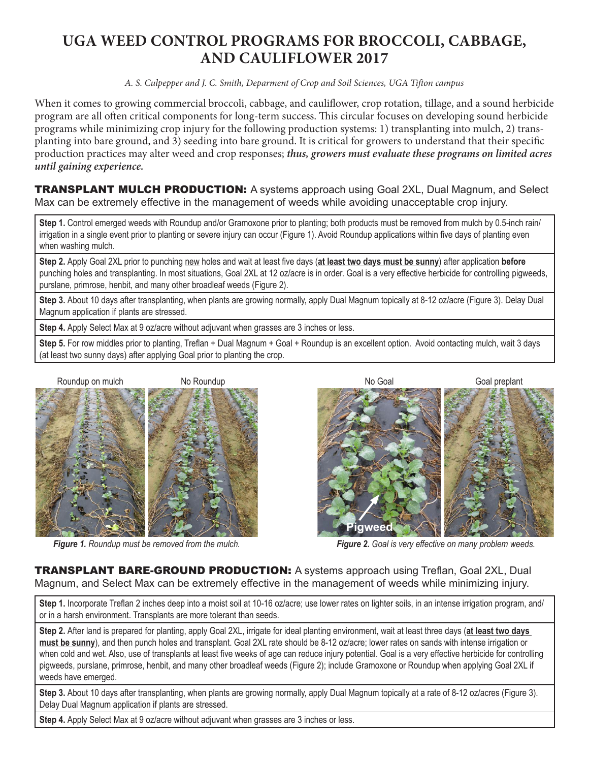## **UGA WEED CONTROL PROGRAMS FOR BROCCOLI, CABBAGE, AND CAULIFLOWER 2017**

*A. S. Culpepper and J. C. Smith, Deparment of Crop and Soil Sciences, UGA Tifton campus*

When it comes to growing commercial broccoli, cabbage, and cauliflower, crop rotation, tillage, and a sound herbicide program are all often critical components for long-term success. This circular focuses on developing sound herbicide programs while minimizing crop injury for the following production systems: 1) transplanting into mulch, 2) transplanting into bare ground, and 3) seeding into bare ground. It is critical for growers to understand that their specific production practices may alter weed and crop responses; *thus, growers must evaluate these programs on limited acres until gaining experience.*

**TRANSPLANT MULCH PRODUCTION:** A systems approach using Goal 2XL, Dual Magnum, and Select Max can be extremely effective in the management of weeds while avoiding unacceptable crop injury.

**Step 1.** Control emerged weeds with Roundup and/or Gramoxone prior to planting; both products must be removed from mulch by 0.5-inch rain/ irrigation in a single event prior to planting or severe injury can occur (Figure 1). Avoid Roundup applications within five days of planting even when washing mulch.

**Step 2.** Apply Goal 2XL prior to punching new holes and wait at least five days (**at least two days must be sunny**) after application **before** punching holes and transplanting. In most situations, Goal 2XL at 12 oz/acre is in order. Goal is a very effective herbicide for controlling pigweeds, purslane, primrose, henbit, and many other broadleaf weeds (Figure 2).

Step 3. About 10 days after transplanting, when plants are growing normally, apply Dual Magnum topically at 8-12 oz/acre (Figure 3). Delay Dual Magnum application if plants are stressed.

**Step 4.** Apply Select Max at 9 oz/acre without adjuvant when grasses are 3 inches or less.

**Step 5.** For row middles prior to planting, Treflan + Dual Magnum + Goal + Roundup is an excellent option. Avoid contacting mulch, wait 3 days (at least two sunny days) after applying Goal prior to planting the crop.





*Figure 1. Roundup must be removed from the mulch. Figure 2. Goal is very effective on many problem weeds.*

TRANSPLANT BARE-GROUND PRODUCTION: A systems approach using Treflan, Goal 2XL, Dual Magnum, and Select Max can be extremely effective in the management of weeds while minimizing injury.

Step 1. Incorporate Treflan 2 inches deep into a moist soil at 10-16 oz/acre; use lower rates on lighter soils, in an intense irrigation program, and/ or in a harsh environment. Transplants are more tolerant than seeds.

**Step 2.** After land is prepared for planting, apply Goal 2XL, irrigate for ideal planting environment, wait at least three days (**at least two days must be sunny**), and then punch holes and transplant. Goal 2XL rate should be 8-12 oz/acre; lower rates on sands with intense irrigation or when cold and wet. Also, use of transplants at least five weeks of age can reduce injury potential. Goal is a very effective herbicide for controlling pigweeds, purslane, primrose, henbit, and many other broadleaf weeds (Figure 2); include Gramoxone or Roundup when applying Goal 2XL if weeds have emerged.

**Step 3.** About 10 days after transplanting, when plants are growing normally, apply Dual Magnum topically at a rate of 8-12 oz/acres (Figure 3). Delay Dual Magnum application if plants are stressed.

Step 4. Apply Select Max at 9 oz/acre without adjuvant when grasses are 3 inches or less.